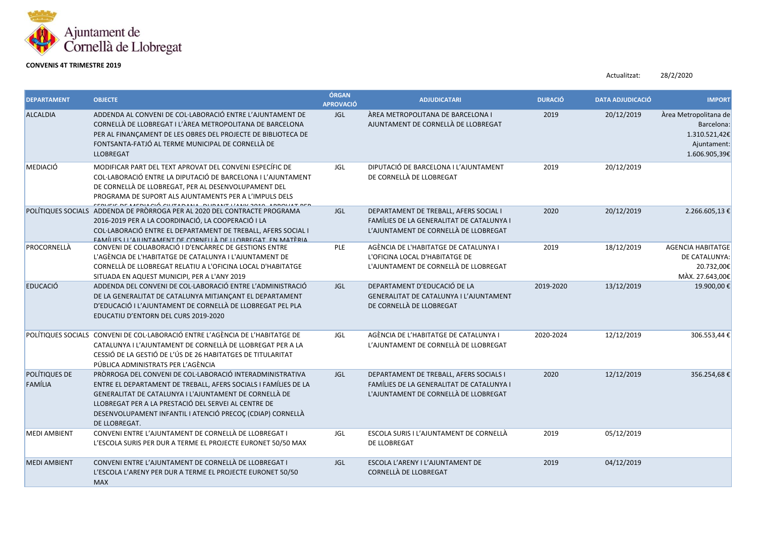

## **CONVENIS 4T TRIMESTRE 2019**

Actualitzat: 28/2/2020

| <b>DEPARTAMENT</b>              | <b>OBJECTE</b>                                                                                                                                                                                                                                                                                                                | ÓRGAN<br><b>APROVACIÓ</b> | <b>ADJUDICATARI</b>                                                                                                           | <b>DURACIÓ</b> | <b>DATA ADJUDICACIÓ</b> | <b>IMPORT</b>                                                                        |
|---------------------------------|-------------------------------------------------------------------------------------------------------------------------------------------------------------------------------------------------------------------------------------------------------------------------------------------------------------------------------|---------------------------|-------------------------------------------------------------------------------------------------------------------------------|----------------|-------------------------|--------------------------------------------------------------------------------------|
| <b>ALCALDIA</b>                 | ADDENDA AL CONVENI DE COL·LABORACIÓ ENTRE L'AJUNTAMENT DE<br>CORNELLÀ DE LLOBREGAT I L'ÀREA METROPOLITANA DE BARCELONA<br>PER AL FINANÇAMENT DE LES OBRES DEL PROJECTE DE BIBLIOTECA DE<br>FONTSANTA-FATJÓ AL TERME MUNICIPAL DE CORNELLÀ DE<br><b>LLOBREGAT</b>                                                              | <b>JGL</b>                | ÀREA METROPOLITANA DE BARCELONA I<br>AJUNTAMENT DE CORNELLÀ DE LLOBREGAT                                                      | 2019           | 20/12/2019              | Àrea Metropolitana de<br>Barcelona:<br>1.310.521,42€<br>Ajuntament:<br>1.606.905,39€ |
| <b>MEDIACIÓ</b>                 | MODIFICAR PART DEL TEXT APROVAT DEL CONVENI ESPECÍFIC DE<br>COL·LABORACIÓ ENTRE LA DIPUTACIÓ DE BARCELONA I L'AJUNTAMENT<br>DE CORNELLÀ DE LLOBREGAT, PER AL DESENVOLUPAMENT DEL<br>PROGRAMA DE SUPORT ALS AJUNTAMENTS PER A L'IMPULS DELS<br><u>DE MEDIACIÓ CUITADAMA DUDAMEILAMICOMO ADDOUNT DED</u>                        | <b>JGL</b>                | DIPUTACIÓ DE BARCELONA I L'AJUNTAMENT<br>DE CORNELLÀ DE LLOBREGAT                                                             | 2019           | 20/12/2019              |                                                                                      |
|                                 | POLÍTIQUES SOCIALS ADDENDA DE PRÒRROGA PER AL 2020 DEL CONTRACTE PROGRAMA<br>2016-2019 PER A LA COORDINACIÓ, LA COOPERACIÓ I LA<br>COL·LABORACIÓ ENTRE EL DEPARTAMENT DE TREBALL, AFERS SOCIAL I<br>FAMÍLIFS LI'AILINTAMENT DE CORNELLÀ DE LLORREGAT EN MATÈRIA                                                               | JGL                       | DEPARTAMENT DE TREBALL, AFERS SOCIAL I<br>FAMÍLIES DE LA GENERALITAT DE CATALUNYA I<br>L'AJUNTAMENT DE CORNELLÀ DE LLOBREGAT  | 2020           | 20/12/2019              | 2.266.605,13€                                                                        |
| PROCORNELLÀ                     | CONVENI DE COLIABORACIÓ I D'ENCÀRREC DE GESTIONS ENTRE<br>L'AGÈNCIA DE L'HABITATGE DE CATALUNYA I L'AJUNTAMENT DE<br>CORNELLÀ DE LLOBREGAT RELATIU A L'OFICINA LOCAL D'HABITATGE<br>SITUADA EN AQUEST MUNICIPI, PER A L'ANY 2019                                                                                              | PLE                       | AGÈNCIA DE L'HABITATGE DE CATALUNYA I<br>L'OFICINA LOCAL D'HABITATGE DE<br>L'AJUNTAMENT DE CORNELLÀ DE LLOBREGAT              | 2019           | 18/12/2019              | <b>AGENCIA HABITATGE</b><br>DE CATALUNYA:<br>20.732,00€<br>MÀX. 27.643,00€           |
| <b>EDUCACIÓ</b>                 | ADDENDA DEL CONVENI DE COL·LABORACIÓ ENTRE L'ADMINISTRACIÓ<br>DE LA GENERALITAT DE CATALUNYA MITJANÇANT EL DEPARTAMENT<br>D'EDUCACIÓ I L'AJUNTAMENT DE CORNELLÀ DE LLOBREGAT PEL PLA<br>EDUCATIU D'ENTORN DEL CURS 2019-2020                                                                                                  | JGL                       | DEPARTAMENT D'EDUCACIÓ DE LA<br>GENERALITAT DE CATALUNYA I L'AJUNTAMENT<br>DE CORNELLÀ DE LLOBREGAT                           | 2019-2020      | 13/12/2019              | 19.900,00€                                                                           |
|                                 | POLÍTIQUES SOCIALS CONVENI DE COL·LABORACIÓ ENTRE L'AGÈNCIA DE L'HABITATGE DE<br>CATALUNYA I L'AJUNTAMENT DE CORNELLÀ DE LLOBREGAT PER A LA<br>CESSIÓ DE LA GESTIÓ DE L'ÚS DE 26 HABITATGES DE TITULARITAT<br>PÚBLICA ADMINISTRATS PER L'AGÈNCIA                                                                              | JGL                       | AGÈNCIA DE L'HABITATGE DE CATALUNYA I<br>L'AJUNTAMENT DE CORNELLÀ DE LLOBREGAT                                                | 2020-2024      | 12/12/2019              | 306.553,44 €                                                                         |
| <b>POLÍTIQUES DE</b><br>FAMÍLIA | PRÒRROGA DEL CONVENI DE COL·LABORACIÓ INTERADMINISTRATIVA<br>ENTRE EL DEPARTAMENT DE TREBALL, AFERS SOCIALS I FAMÍLIES DE LA<br>GENERALITAT DE CATALUNYA I L'AJUNTAMENT DE CORNELLÀ DE<br>LLOBREGAT PER A LA PRESTACIÓ DEL SERVEI AL CENTRE DE<br>DESENVOLUPAMENT INFANTIL I ATENCIÓ PRECOÇ (CDIAP) CORNELLÀ<br>DE LLOBREGAT. | <b>JGL</b>                | DEPARTAMENT DE TREBALL, AFERS SOCIALS I<br>FAMÍLIES DE LA GENERALITAT DE CATALUNYA I<br>L'AJUNTAMENT DE CORNELLÀ DE LLOBREGAT | 2020           | 12/12/2019              | 356.254,68€                                                                          |
| <b>MEDI AMBIENT</b>             | CONVENI ENTRE L'AJUNTAMENT DE CORNELLÀ DE LLOBREGAT I<br>L'ESCOLA SURIS PER DUR A TERME EL PROJECTE EURONET 50/50 MAX                                                                                                                                                                                                         | JGL                       | ESCOLA SURIS I L'AJUNTAMENT DE CORNELLÀ<br>DE LLOBREGAT                                                                       | 2019           | 05/12/2019              |                                                                                      |
| <b>MEDI AMBIENT</b>             | CONVENI ENTRE L'AJUNTAMENT DE CORNELLÀ DE LLOBREGAT I<br>L'ESCOLA L'ARENY PER DUR A TERME EL PROJECTE EURONET 50/50<br><b>MAX</b>                                                                                                                                                                                             | JGL                       | ESCOLA L'ARENY I L'AJUNTAMENT DE<br>CORNELLÀ DE LLOBREGAT                                                                     | 2019           | 04/12/2019              |                                                                                      |